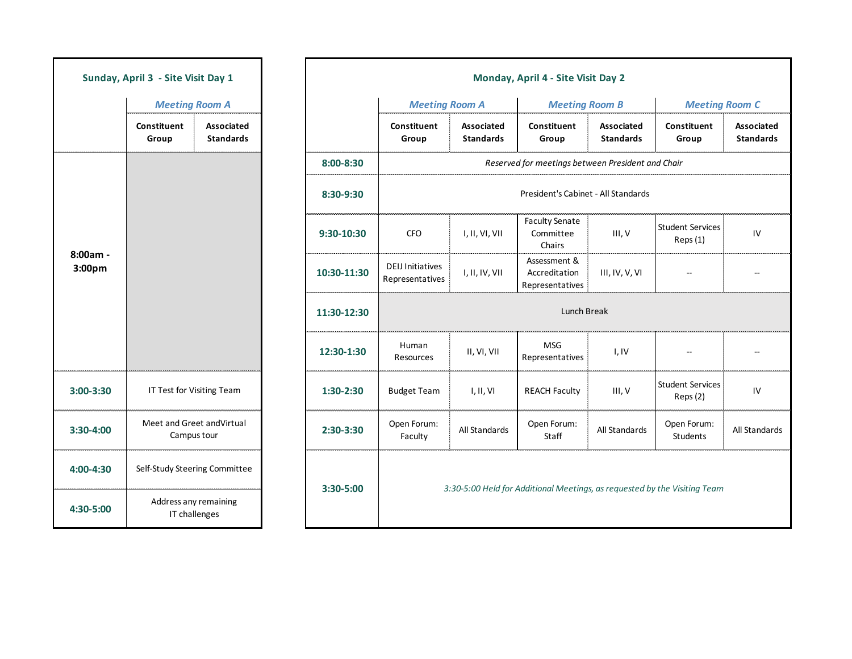| Sunday, April 3 - Site Visit Day 1 |                                           |                                       |  |  |  |
|------------------------------------|-------------------------------------------|---------------------------------------|--|--|--|
|                                    | <b>Meeting Room A</b>                     |                                       |  |  |  |
|                                    | Constituent<br>Group                      | <b>Associated</b><br><b>Standards</b> |  |  |  |
| 8:00am<br>3:00pm                   |                                           |                                       |  |  |  |
| 3:00-3:30                          | IT Test for Visiting Team                 |                                       |  |  |  |
| 3:30-4:00                          | Meet and Greet and Virtual<br>Campus tour |                                       |  |  |  |
| 4:00-4:30                          | Self-Study Steering Committee             |                                       |  |  |  |
| 4:30-5:00                          | Address any remaining<br>IT challenges    |                                       |  |  |  |

|                    | Sunday, April 3 - Site Visit Day 1 |                                |                                                                                        |             |                                                   |                                       | Monday, April 4 - Site Visit Day 2               |                                       |                                     |                                |  |  |
|--------------------|------------------------------------|--------------------------------|----------------------------------------------------------------------------------------|-------------|---------------------------------------------------|---------------------------------------|--------------------------------------------------|---------------------------------------|-------------------------------------|--------------------------------|--|--|
|                    | <b>Meeting Room A</b>              |                                |                                                                                        |             | <b>Meeting Room A</b>                             |                                       | <b>Meeting Room B</b>                            |                                       | <b>Meeting Room C</b>               |                                |  |  |
|                    | Constituent<br>Group               | Associated<br><b>Standards</b> |                                                                                        |             | Constituent<br>Group                              | <b>Associated</b><br><b>Standards</b> | Constituent<br>Group                             | <b>Associated</b><br><b>Standards</b> | Constituent<br>Group                | Associated<br><b>Standards</b> |  |  |
|                    |                                    |                                |                                                                                        | 8:00-8:30   | Reserved for meetings between President and Chair |                                       |                                                  |                                       |                                     |                                |  |  |
|                    |                                    |                                |                                                                                        | 8:30-9:30   | President's Cabinet - All Standards               |                                       |                                                  |                                       |                                     |                                |  |  |
|                    |                                    |                                |                                                                                        | 9:30-10:30  | <b>CFO</b>                                        | I, II, VI, VII                        | <b>Faculty Senate</b><br>Committee<br>Chairs     | III, V                                | <b>Student Services</b><br>Reps(1)  | IV                             |  |  |
| 8:00am -<br>3:00pm |                                    |                                |                                                                                        | 10:30-11:30 | <b>DEIJ Initiatives</b><br>Representatives        | I, II, IV, VII                        | Assessment &<br>Accreditation<br>Representatives | III, IV, V, VI                        |                                     |                                |  |  |
|                    |                                    |                                |                                                                                        | 11:30-12:30 | Lunch Break                                       |                                       |                                                  |                                       |                                     |                                |  |  |
|                    |                                    |                                |                                                                                        | 12:30-1:30  | Human<br>Resources                                | II, VI, VII                           | <b>MSG</b><br>Representatives                    | I, IV                                 |                                     |                                |  |  |
| 3:00-3:30          |                                    | IT Test for Visiting Team      |                                                                                        | 1:30-2:30   | <b>Budget Team</b>                                | I, II, VI                             | <b>REACH Faculty</b>                             | III, V                                | <b>Student Services</b><br>Reps (2) | ${\sf IV}$                     |  |  |
| 3:30-4:00          | Campus tour                        | Meet and Greet and Virtual     |                                                                                        | 2:30-3:30   | Open Forum:<br>Faculty                            | All Standards                         | Open Forum:<br>Staff                             | All Standards                         | Open Forum:<br>Students             | All Standards                  |  |  |
| 4:00-4:30          |                                    | Self-Study Steering Committee  |                                                                                        |             |                                                   |                                       |                                                  |                                       |                                     |                                |  |  |
| 4:30-5:00          | Address any remaining              | IT challenges                  | 3:30-5:00<br>3:30-5:00 Held for Additional Meetings, as requested by the Visiting Team |             |                                                   |                                       |                                                  |                                       |                                     |                                |  |  |